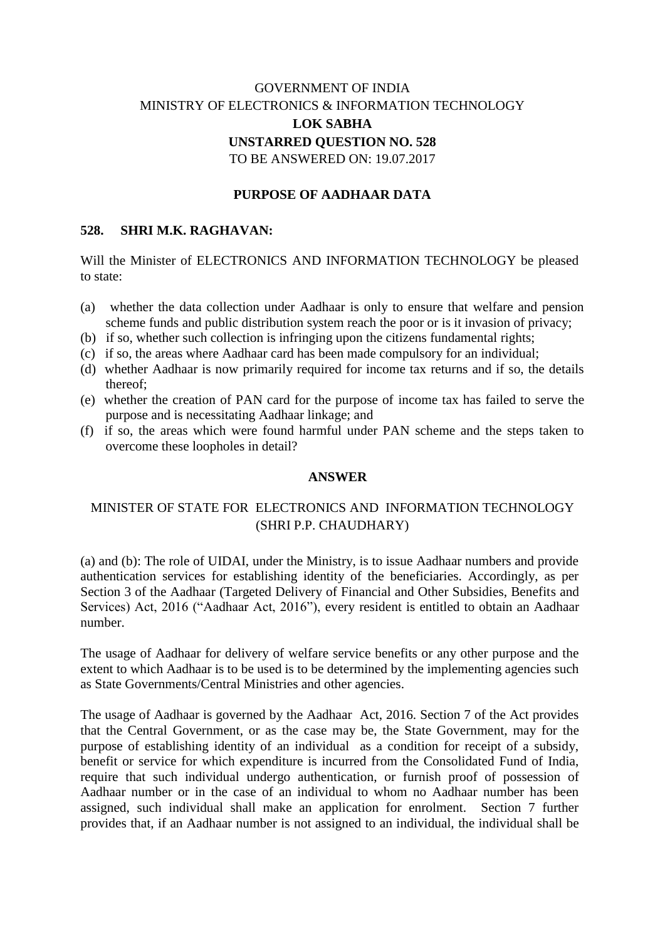# GOVERNMENT OF INDIA MINISTRY OF ELECTRONICS & INFORMATION TECHNOLOGY **LOK SABHA UNSTARRED QUESTION NO. 528** TO BE ANSWERED ON: 19.07.2017

### **PURPOSE OF AADHAAR DATA**

### **528. SHRI M.K. RAGHAVAN:**

Will the Minister of ELECTRONICS AND INFORMATION TECHNOLOGY be pleased to state:

- (a) whether the data collection under Aadhaar is only to ensure that welfare and pension scheme funds and public distribution system reach the poor or is it invasion of privacy;
- (b) if so, whether such collection is infringing upon the citizens fundamental rights;
- (c) if so, the areas where Aadhaar card has been made compulsory for an individual;
- (d) whether Aadhaar is now primarily required for income tax returns and if so, the details thereof;
- (e) whether the creation of PAN card for the purpose of income tax has failed to serve the purpose and is necessitating Aadhaar linkage; and
- (f) if so, the areas which were found harmful under PAN scheme and the steps taken to overcome these loopholes in detail?

#### **ANSWER**

## MINISTER OF STATE FOR ELECTRONICS AND INFORMATION TECHNOLOGY (SHRI P.P. CHAUDHARY)

(a) and (b): The role of UIDAI, under the Ministry, is to issue Aadhaar numbers and provide authentication services for establishing identity of the beneficiaries. Accordingly, as per Section 3 of the Aadhaar (Targeted Delivery of Financial and Other Subsidies, Benefits and Services) Act, 2016 ("Aadhaar Act, 2016"), every resident is entitled to obtain an Aadhaar number<sup>1</sup>

The usage of Aadhaar for delivery of welfare service benefits or any other purpose and the extent to which Aadhaar is to be used is to be determined by the implementing agencies such as State Governments/Central Ministries and other agencies.

The usage of Aadhaar is governed by the Aadhaar Act, 2016. Section 7 of the Act provides that the Central Government, or as the case may be, the State Government, may for the purpose of establishing identity of an individual as a condition for receipt of a subsidy, benefit or service for which expenditure is incurred from the Consolidated Fund of India, require that such individual undergo authentication, or furnish proof of possession of Aadhaar number or in the case of an individual to whom no Aadhaar number has been assigned, such individual shall make an application for enrolment. Section 7 further provides that, if an Aadhaar number is not assigned to an individual, the individual shall be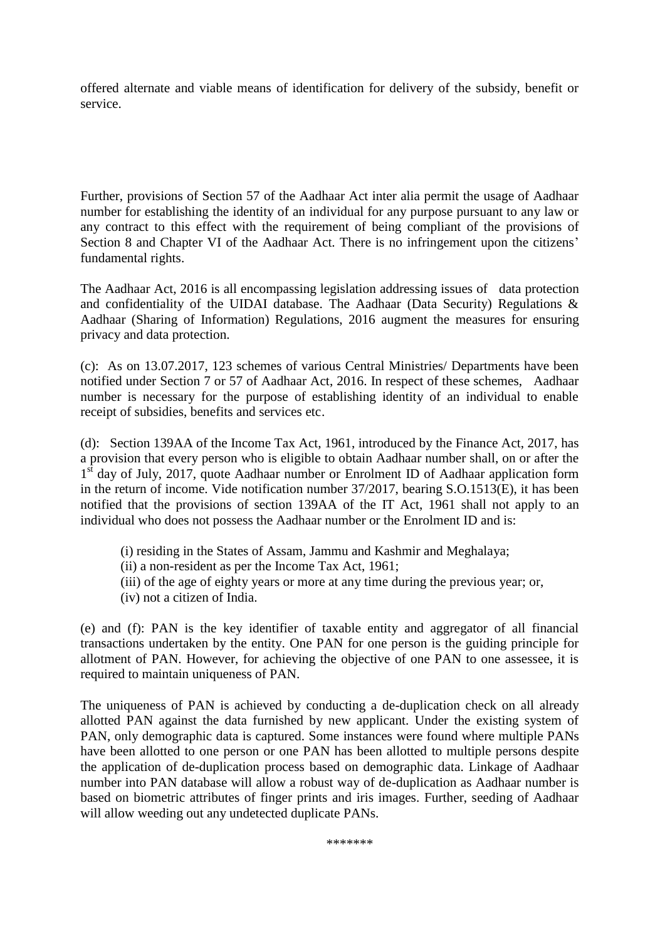offered alternate and viable means of identification for delivery of the subsidy, benefit or service.

Further, provisions of Section 57 of the Aadhaar Act inter alia permit the usage of Aadhaar number for establishing the identity of an individual for any purpose pursuant to any law or any contract to this effect with the requirement of being compliant of the provisions of Section 8 and Chapter VI of the Aadhaar Act. There is no infringement upon the citizens' fundamental rights.

The Aadhaar Act, 2016 is all encompassing legislation addressing issues of data protection and confidentiality of the UIDAI database. The Aadhaar (Data Security) Regulations & Aadhaar (Sharing of Information) Regulations, 2016 augment the measures for ensuring privacy and data protection.

(c): As on 13.07.2017, 123 schemes of various Central Ministries/ Departments have been notified under Section 7 or 57 of Aadhaar Act, 2016. In respect of these schemes, Aadhaar number is necessary for the purpose of establishing identity of an individual to enable receipt of subsidies, benefits and services etc.

(d): Section 139AA of the Income Tax Act, 1961, introduced by the Finance Act, 2017, has a provision that every person who is eligible to obtain Aadhaar number shall, on or after the 1<sup>st</sup> day of July, 2017, quote Aadhaar number or Enrolment ID of Aadhaar application form in the return of income. Vide notification number 37/2017, bearing S.O.1513(E), it has been notified that the provisions of section 139AA of the IT Act, 1961 shall not apply to an individual who does not possess the Aadhaar number or the Enrolment ID and is:

- (i) residing in the States of Assam, Jammu and Kashmir and Meghalaya;
- (ii) a non-resident as per the Income Tax Act, 1961;
- (iii) of the age of eighty years or more at any time during the previous year; or,
- (iv) not a citizen of India.

(e) and (f): PAN is the key identifier of taxable entity and aggregator of all financial transactions undertaken by the entity. One PAN for one person is the guiding principle for allotment of PAN. However, for achieving the objective of one PAN to one assessee, it is required to maintain uniqueness of PAN.

The uniqueness of PAN is achieved by conducting a de-duplication check on all already allotted PAN against the data furnished by new applicant. Under the existing system of PAN, only demographic data is captured. Some instances were found where multiple PANs have been allotted to one person or one PAN has been allotted to multiple persons despite the application of de-duplication process based on demographic data. Linkage of Aadhaar number into PAN database will allow a robust way of de-duplication as Aadhaar number is based on biometric attributes of finger prints and iris images. Further, seeding of Aadhaar will allow weeding out any undetected duplicate PANs.

\*\*\*\*\*\*\*